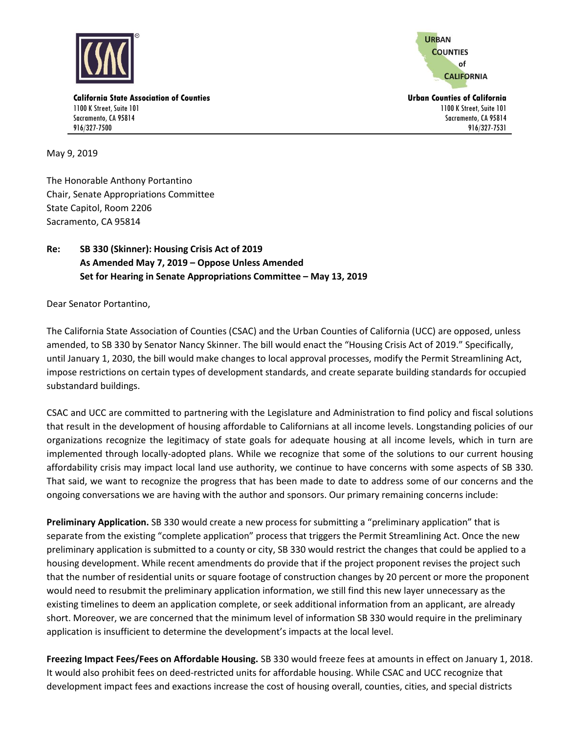

**URBAN COUNTIES** of **CALIFORNIA** 

1100 K Street, Suite 101 Sacramento, CA 95814 916/327-7531

**California State Association of Counties Urban Counties of California** 1100 K Street, Suite 101 Sacramento, CA 95814 916/327-7500

May 9, 2019

The Honorable Anthony Portantino Chair, Senate Appropriations Committee State Capitol, Room 2206 Sacramento, CA 95814

## **Re: SB 330 (Skinner): Housing Crisis Act of 2019 As Amended May 7, 2019 – Oppose Unless Amended Set for Hearing in Senate Appropriations Committee – May 13, 2019**

Dear Senator Portantino,

The California State Association of Counties (CSAC) and the Urban Counties of California (UCC) are opposed, unless amended, to SB 330 by Senator Nancy Skinner. The bill would enact the "Housing Crisis Act of 2019." Specifically, until January 1, 2030, the bill would make changes to local approval processes, modify the Permit Streamlining Act, impose restrictions on certain types of development standards, and create separate building standards for occupied substandard buildings.

CSAC and UCC are committed to partnering with the Legislature and Administration to find policy and fiscal solutions that result in the development of housing affordable to Californians at all income levels. Longstanding policies of our organizations recognize the legitimacy of state goals for adequate housing at all income levels, which in turn are implemented through locally-adopted plans. While we recognize that some of the solutions to our current housing affordability crisis may impact local land use authority, we continue to have concerns with some aspects of SB 330. That said, we want to recognize the progress that has been made to date to address some of our concerns and the ongoing conversations we are having with the author and sponsors. Our primary remaining concerns include:

**Preliminary Application.** SB 330 would create a new process for submitting a "preliminary application" that is separate from the existing "complete application" process that triggers the Permit Streamlining Act. Once the new preliminary application is submitted to a county or city, SB 330 would restrict the changes that could be applied to a housing development. While recent amendments do provide that if the project proponent revises the project such that the number of residential units or square footage of construction changes by 20 percent or more the proponent would need to resubmit the preliminary application information, we still find this new layer unnecessary as the existing timelines to deem an application complete, or seek additional information from an applicant, are already short. Moreover, we are concerned that the minimum level of information SB 330 would require in the preliminary application is insufficient to determine the development's impacts at the local level.

**Freezing Impact Fees/Fees on Affordable Housing.** SB 330 would freeze fees at amounts in effect on January 1, 2018. It would also prohibit fees on deed-restricted units for affordable housing. While CSAC and UCC recognize that development impact fees and exactions increase the cost of housing overall, counties, cities, and special districts